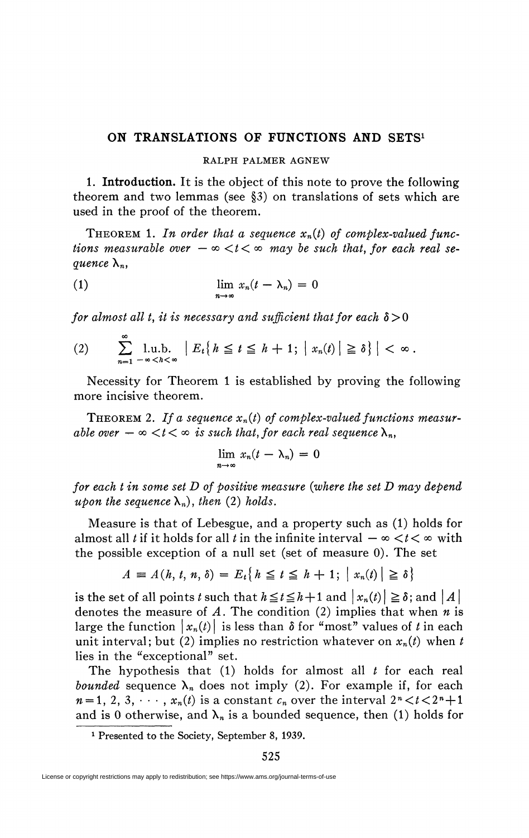## **ON TRANSLATIONS OF FUNCTIONS AND SETS<sup>1</sup>**

## RALPH PALMER AGNEW

**1. Introduction.** It is the object of this note to prove the following theorem and two lemmas (see §3) on translations of sets which are used in the proof of the theorem.

THEOREM 1. In order that a sequence  $x_n(t)$  of complex-valued func*tions measurable over*  $-\infty < t < \infty$  may be such that, for each real se*quence*  $\lambda_n$ ,

(1) 
$$
\lim_{n \to \infty} x_n(t - \lambda_n) = 0
$$

*for almost all t, it is necessary and sufficient that for each*  $\delta > 0$ 

$$
(2) \qquad \sum_{n=1}^{\infty} \lim_{-\infty < h < \infty} \left| E_t \left\{ h \leq t \leq h+1; \left| x_n(t) \right| \geq \delta \right\} \right| < \infty \, .
$$

Necessity for Theorem 1 is established by proving the following more incisive theorem.

THEOREM 2. If a sequence  $x_n(t)$  of complex-valued functions measur*able over*  $-\infty < t < \infty$  *is such that, for each real sequence*  $\lambda_n$ ,

$$
\lim_{n\to\infty}x_n(t-\lambda_n)=0
$$

*for each t in some set D of positive measure {where the set D may depend upon the sequence*  $\lambda_n$ *), then* (2*) holds.* 

Measure is that of Lebesgue, and a property such as (1) holds for almost all *t* if it holds for all *t* in the infinite interval  $-\infty < t < \infty$  with the possible exception of a null set (set of measure 0). The set

$$
A = A(h, t, n, \delta) = E_t\{h \le t \le h + 1; \mid x_n(t) \mid \ge \delta\}
$$

is the set of all points *t* such that  $h \le t \le h + 1$  and  $|x_n (t)| \ge \delta$ ; and  $\vert A \vert$ denotes the measure of *A.* The condition (2) implies that when *n* is large the function  $|x_n(t)|$  is less than  $\delta$  for "most" values of t in each unit interval; but (2) implies no restriction whatever on  $x_n(t)$  when t lies in the "exceptional" set.

The hypothesis that  $(1)$  holds for almost all  $t$  for each real *bounded* sequence  $\lambda_n$  does not imply (2). For example if, for each  $n = 1, 2, 3, \dots, x_n(t)$  is a constant  $c_n$  over the interval  $2^n < t < 2^n + 1$ and is 0 otherwise, and  $\lambda_n$  is a bounded sequence, then (1) holds for

<sup>&</sup>lt;sup>1</sup> Presented to the Society, September 8, 1939.

License or copyright restrictions may apply to redistribution; see https://www.ams.org/journal-terms-of-use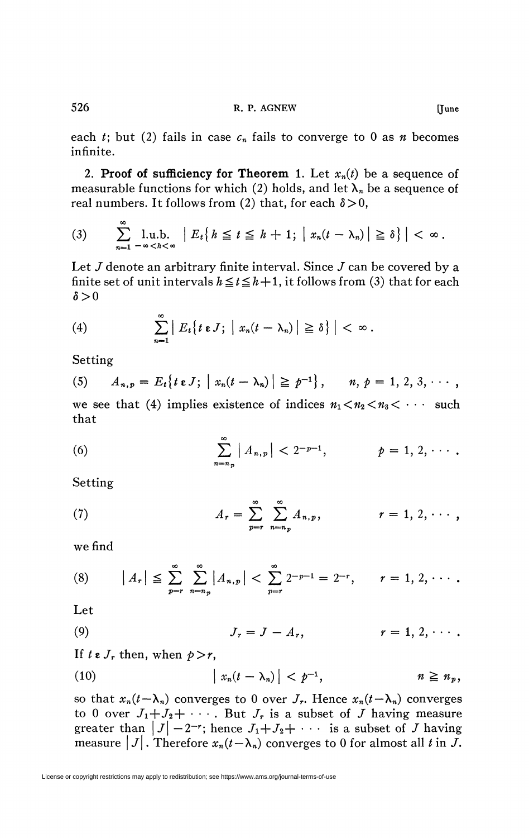each *t*; but (2) fails in case  $c_n$  fails to converge to 0 as *n* becomes infinite.

2. **Proof of sufficiency for Theorem** 1. Let  $x_n(t)$  be a sequence of measurable functions for which (2) holds, and let  $\lambda_n$  be a sequence of real numbers. It follows from (2) that, for each  $\delta > 0$ ,

(3) 
$$
\sum_{n=1}^{\infty} \lim_{-\infty} L_n \left\{ h \leq t \leq h+1; \left| x_n(t-\lambda_n) \right| \geq \delta \right\} < \infty.
$$

Let  $J$  denote an arbitrary finite interval. Since  $J$  can be covered by a finite set of unit intervals  $h \le t \le h + 1$ , it follows from (3) that for each  $\delta > 0$ 

(4) 
$$
\sum_{n=1}^{\infty} |E_t\{t \cdot J; \mid x_n(t-\lambda_n)| \geq \delta\}| < \infty.
$$

Setting

(5) 
$$
A_{n,p} = E_t \{ t \in J; |x_n(t - \lambda_n)| \geq p^{-1} \}, \quad n, p = 1, 2, 3, \cdots,
$$

we see that (4) implies existence of indices  $n_1 < n_2 < n_3 < \cdots$  such that

(6) 
$$
\sum_{n=n_p}^{\infty} |A_{n,p}| < 2^{-p-1}, \qquad p = 1, 2, \cdots.
$$

Setting

(7) 
$$
A_r = \sum_{p=r}^{\infty} \sum_{n=n_p}^{\infty} A_{n,p}, \qquad r = 1, 2, \cdots,
$$

we find

(8) 
$$
|A_r| \leq \sum_{p=r}^{\infty} \sum_{n=n_p}^{\infty} |A_{n,p}| < \sum_{p=r}^{\infty} 2^{-p-1} = 2^{-r}, \qquad r = 1, 2, \cdots.
$$

Let

$$
(9) \hspace{1cm} J_r = J - A_r, \hspace{1cm} r = 1, 2, \cdots.
$$

If  $t \in J_r$  then, when  $p > r$ ,

(10) 
$$
\left| x_n(t-\lambda_n) \right| < p^{-1}, \qquad n \geq n_p,
$$

so that  $x_n(t-\lambda_n)$  converges to 0 over  $J_r$ . Hence  $x_n(t-\lambda_n)$  converges to 0 over  $J_1 + J_2 + \cdots$ . But  $J_r$  is a subset of *J* having measure greater than  $|J| - 2^{-r}$ ; hence  $J_1 + J_2 + \cdots$  is a subset of *J* having measure  $|J|$ . Therefore  $x_n(t-\lambda_n)$  converges to 0 for almost all *t* in *J*.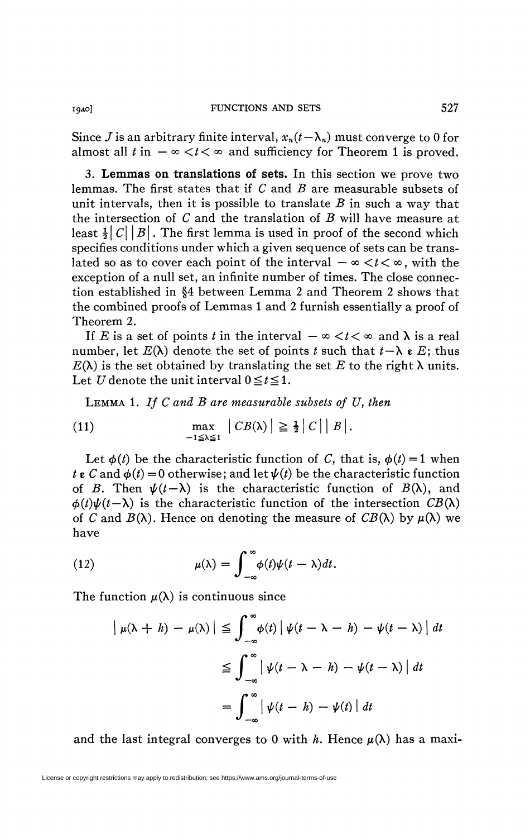Since *J* is an arbitrary finite interval,  $x_n(t-\lambda_n)$  must converge to 0 for almost all  $t$  in  $-\infty < t < \infty$  and sufficiency for Theorem 1 is proved.

3. **Lemmas on translations of sets.** In this section we prove two lemmas. The first states that if *C* and *B* are measurable subsets of unit intervals, then it is possible to translate *B* in such a way that the intersection of *C* and the translation of *B* will have measure at least  $\frac{1}{2}|C||B|$ . The first lemma is used in proof of the second which specifies conditions under which a given sequence of sets can be translated so as to cover each point of the interval  $-\infty < t < \infty$ , with the exception of a null set, an infinite number of times. The close connection established in §4 between Lemma 2 and Theorem 2 shows that the combined proofs of Lemmas 1 and 2 furnish essentially a proof of Theorem 2.

If E is a set of points t in the interval  $-\infty < t < \infty$  and  $\lambda$  is a real number, let  $E(\lambda)$  denote the set of points *t* such that  $t - \lambda \varepsilon E$ ; thus  $E(\lambda)$  is the set obtained by translating the set E to the right  $\lambda$  units. Let *U* denote the unit interval  $0 \le t \le 1$ .

LEMMA 1. If C and B are measurable subsets of U, then

(11) 
$$
\max_{-1 \leq \lambda \leq 1} |CB(\lambda)| \geq \frac{1}{2} |C| |B|.
$$

Let  $\phi(t)$  be the characteristic function of C, that is,  $\phi(t) = 1$  when *t*  $\epsilon$  *C* and  $\phi(t) = 0$  otherwise; and let  $\psi(t)$  be the characteristic function of *B*. Then  $\psi(t-\lambda)$  is the characteristic function of  $B(\lambda)$ , and  $\phi(t)\psi(t-\lambda)$  is the characteristic function of the intersection  $CB(\lambda)$ of *C* and  $B(\lambda)$ . Hence on denoting the measure of  $CB(\lambda)$  by  $\mu(\lambda)$  we have

(12) 
$$
\mu(\lambda) = \int_{-\infty}^{\infty} \phi(t)\psi(t-\lambda)dt.
$$

The function  $\mu(\lambda)$  is continuous since

$$
\left| \mu(\lambda + h) - \mu(\lambda) \right| \leq \int_{-\infty}^{\infty} \phi(t) \left| \psi(t - \lambda - h) - \psi(t - \lambda) \right| dt
$$
  

$$
\leq \int_{-\infty}^{\infty} \left| \psi(t - \lambda - h) - \psi(t - \lambda) \right| dt
$$
  

$$
= \int_{-\infty}^{\infty} \left| \psi(t - h) - \psi(t) \right| dt
$$

and the last integral converges to 0 with h. Hence  $\mu(\lambda)$  has a maxi-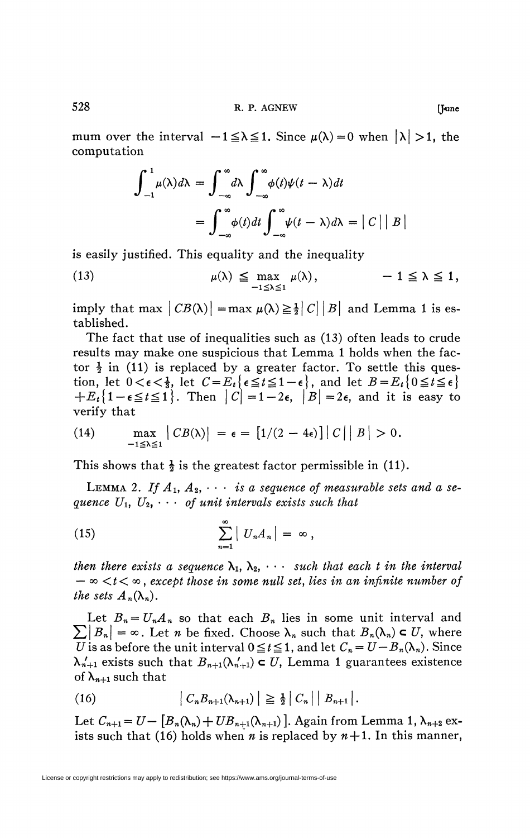mum over the interval  $-1 \leq \lambda \leq 1$ . Since  $\mu(\lambda)=0$  when  $|\lambda| >1$ , the computation

$$
\int_{-1}^{1} \mu(\lambda) d\lambda = \int_{-\infty}^{\infty} d\lambda \int_{-\infty}^{\infty} \phi(t) \psi(t - \lambda) dt
$$

$$
= \int_{-\infty}^{\infty} \phi(t) dt \int_{-\infty}^{\infty} \psi(t - \lambda) d\lambda = |C| |B|
$$

is easily justified. This equality and the inequality

(13) 
$$
\mu(\lambda) \leq \max_{-1 \leq \lambda \leq 1} \mu(\lambda), \qquad -1 \leq \lambda \leq 1,
$$

imply that max  $|CB(\lambda)| = \max \mu(\lambda) \geq \frac{1}{2} |C| |B|$  and Lemma 1 is established.

The fact that use of inequalities such as (13) often leads to crude results may make one suspicious that Lemma 1 holds when the factor  $\frac{1}{2}$  in (11) is replaced by a greater factor. To settle this question, let  $0 < \epsilon < \frac{1}{3}$ , let  $C = E_t \{ \epsilon \le t \le 1 - \epsilon \}$ , and let  $B = E_t \{ 0 \le t \le \epsilon \}$  $+E_{\epsilon}$ {1- $\epsilon \leq t \leq 1$ }. Then  $|C| = 1 - 2\epsilon$ ,  $|B| = 2\epsilon$ , and it is easy to verify that

(14) 
$$
\max_{-1 \leq \lambda \leq 1} |CB(\lambda)| = \epsilon = [1/(2-4\epsilon)] |C| |B| > 0.
$$

This shows that  $\frac{1}{2}$  is the greatest factor permissible in (11).

LEMMA 2. If  $A_1, A_2, \cdots$  is a sequence of measurable sets and a se*quence*  $U_1$ ,  $U_2$ ,  $\cdots$  *of unit intervals exists such that* 

(15) 
$$
\sum_{n=1}^{\infty} |U_n A_n| = \infty,
$$

*then there exists a sequence*  $\lambda_1, \lambda_2, \cdots$  *such that each t in the interval*  $-\infty < t < \infty$ , except those in some null set, lies in an infinite number of *the sets*  $A_n(\lambda_n)$ .

Let  $B_n = U_n A_n$  so that each  $B_n$  lies in some unit interval and  $\sum |B_n| = \infty$ . Let *n* be fixed. Choose  $\lambda_n$  such that  $B_n(\lambda_n) \subset U$ , where *U* is as before the unit interval  $0 \le t \le 1$ , and let  $C_n = U - B_n(\lambda_n)$ . Since  $\lambda'_{n+1}$  exists such that  $B_{n+1}(\lambda'_{n+1}) \subset U$ , Lemma 1 guarantees existence of  $\lambda_{n+1}$  such that

(16) 
$$
|C_{n}B_{n+1}(\lambda_{n+1})| \geq \frac{1}{2}|C_{n}| |B_{n+1}|.
$$

2 I *Cn* I I *Bn+i* J . Let  $C_{n+1} = U - [D_n(\Lambda_n) + UD_{n+1}(\Lambda_{n+1})]$ . Again from Lemma 1,  $\Lambda_{n+2}$  exists such that (16) holds when *n* is replaced by  $n+1$ . In this manner,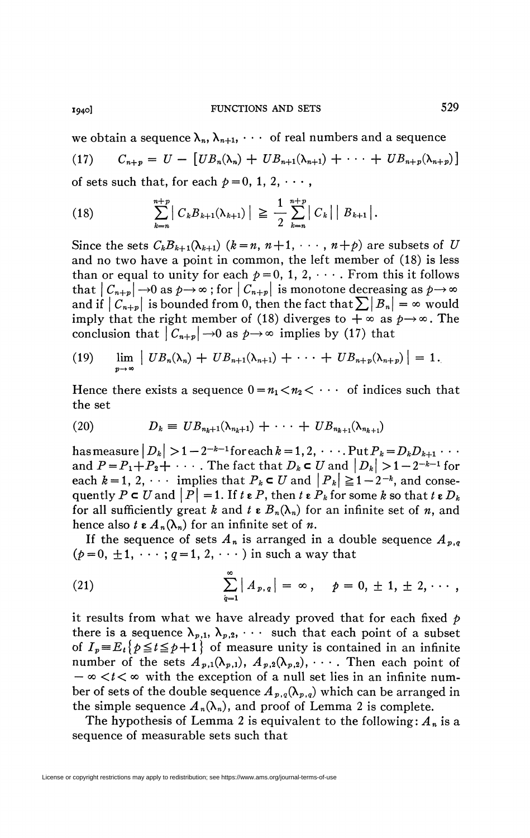we obtain a sequence  $\lambda_n$ ,  $\lambda_{n+1}$ ,  $\cdots$  of real numbers and a sequence  $C_{n+n} = U - [UB_n(\lambda_n) + UB_{n+1}(\lambda_{n+1}) + \cdots + UB_{n+n}(\lambda_{n+n})]$  $(17)$ of sets such that, for each  $p=0, 1, 2, \cdots$ ,

(18) 
$$
\sum_{k=n}^{n+p} |C_k B_{k+1}(\lambda_{k+1})| \geq \frac{1}{2} \sum_{k=n}^{n+p} |C_k| |B_{k+1}|.
$$

Since the sets  $C_k B_{k+1}(\lambda_{k+1})$   $(k = n, n+1, \dots, n+p)$  are subsets of U and no two have a point in common, the left member of (18) is less than or equal to unity for each  $p=0, 1, 2, \cdots$ . From this it follows that  $|C_{n+p}| \to 0$  as  $p \to \infty$ ; for  $|C_{n+p}|$  is monotone decreasing as  $p \to \infty$ and if  $|C_{n+p}|$  is bounded from 0, then the fact that  $\sum |B_n| = \infty$  would imply that the right member of (18) diverges to  $+\infty$  as  $\rho \rightarrow \infty$ . The conclusion that  $|C_{n+p}| \rightarrow 0$  as  $p \rightarrow \infty$  implies by (17) that

(19) 
$$
\lim_{p\to\infty} \left| UB_n(\lambda_n) + UB_{n+1}(\lambda_{n+1}) + \cdots + UB_{n+p}(\lambda_{n+p}) \right| = 1.
$$

Hence there exists a sequence  $0 = n_1 < n_2 < \cdots$  of indices such that the set

(20) 
$$
D_k \equiv UB_{n_k+1}(\lambda_{n_k+1}) + \cdots + UB_{n_{k+1}}(\lambda_{n_{k+1}})
$$

has measure  $|D_k| > 1-2^{-k-1}$  for each  $k = 1, 2, \cdots$ . Put  $P_k = D_k D_{k+1} \cdots$ and  $P = P_1 + P_2 + \cdots$ . The fact that  $D_k \subset U$  and  $|D_k| > 1 - 2^{-k-1}$  for each  $k=1, 2, \cdots$  implies that  $P_k \subset U$  and  $|P_k| \geq 1-2^{-k}$ , and consequently  $P \subset U$  and  $|P| = 1$ . If  $t \in P$ , then  $t \in P_k$  for some k so that  $t \in D_k$ for all sufficiently great k and  $t \in B_n(\lambda_n)$  for an infinite set of n, and hence also  $t \in A_n(\lambda_n)$  for an infinite set of *n*.

If the sequence of sets  $A_n$  is arranged in a double sequence  $A_{n,q}$  $(p=0, \pm 1, \cdots; q=1, 2, \cdots)$  in such a way that

(21) 
$$
\sum_{q=1}^{\infty} |A_{p,q}| = \infty, \quad p = 0, \pm 1, \pm 2, \cdots,
$$

it results from what we have already proved that for each fixed  $p$ there is a sequence  $\lambda_{p,1}$ ,  $\lambda_{p,2}$ ,  $\cdots$  such that each point of a subset of  $I_p \equiv E_t\{p \le t \le p+1\}$  of measure unity is contained in an infinite number of the sets  $A_{p,1}(\lambda_{p,1}), A_{p,2}(\lambda_{p,2}), \cdots$ . Then each point of  $-\infty < t < \infty$  with the exception of a null set lies in an infinite number of sets of the double sequence  $A_{p,q}(\lambda_{p,q})$  which can be arranged in the simple sequence  $A_n(\lambda_n)$ , and proof of Lemma 2 is complete.

The hypothesis of Lemma 2 is equivalent to the following:  $A_n$  is a sequence of measurable sets such that

1940]